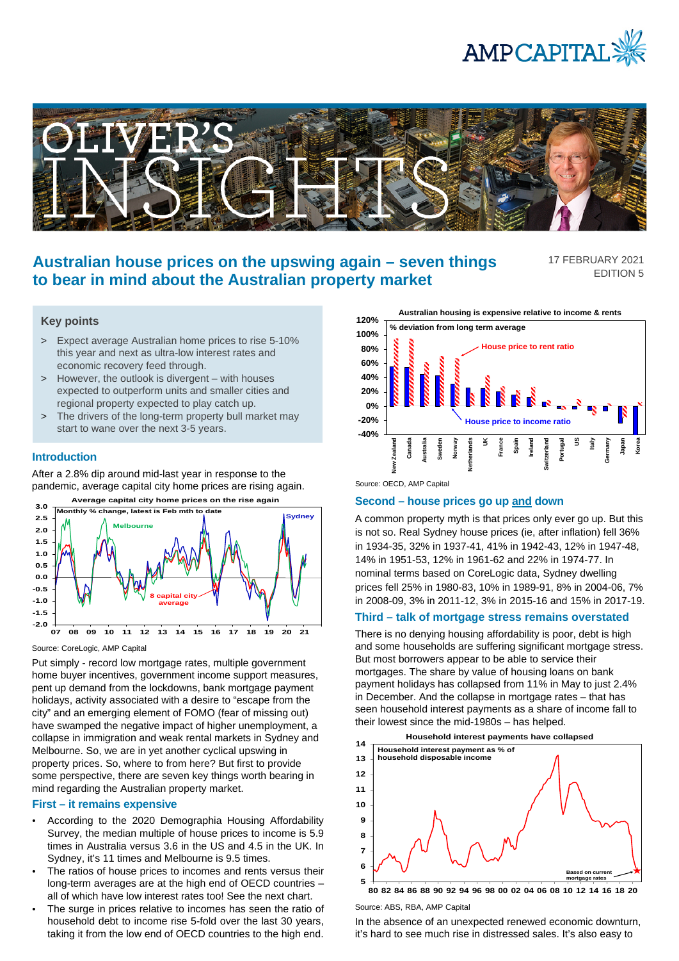



# **Australian house prices on the upswing again – seven things to bear in mind about the Australian property market**

17 FEBRUARY 2021 EDITION 5

## **Key points**

- > Expect average Australian home prices to rise 5-10% this year and next as ultra-low interest rates and economic recovery feed through.
- > However, the outlook is divergent with houses expected to outperform units and smaller cities and regional property expected to play catch up.
- > The drivers of the long-term property bull market may start to wane over the next 3-5 years.

### **Introduction**

After a 2.8% dip around mid-last year in response to the pandemic, average capital city home prices are rising again.



Source: CoreLogic, AMP Capital

Put simply - record low mortgage rates, multiple government home buyer incentives, government income support measures, pent up demand from the lockdowns, bank mortgage payment holidays, activity associated with a desire to "escape from the city" and an emerging element of FOMO (fear of missing out) have swamped the negative impact of higher unemployment, a collapse in immigration and weak rental markets in Sydney and Melbourne. So, we are in yet another cyclical upswing in property prices. So, where to from here? But first to provide some perspective, there are seven key things worth bearing in mind regarding the Australian property market.

### **First – it remains expensive**

- According to the 2020 Demographia Housing Affordability Survey, the median multiple of house prices to income is 5.9 times in Australia versus 3.6 in the US and 4.5 in the UK. In Sydney, it's 11 times and Melbourne is 9.5 times.
- The ratios of house prices to incomes and rents versus their long-term averages are at the high end of OECD countries – all of which have low interest rates too! See the next chart.
- The surge in prices relative to incomes has seen the ratio of household debt to income rise 5-fold over the last 30 years, taking it from the low end of OECD countries to the high end.

**Australian housing is expensive relative to income & rents 120% % deviation from long term average 100% House price to rent ratio 80% 60% 40% 20% 0% -20% House price to income ratio -40% New Zealand Canada Australia Sweden Norway Netherlands UK France Spain Ireland Switzerland Portugal US Italy Germany Japan Korea** r<sub>eala</sub> Š

Source: OECD, AMP Capital

#### **Second – house prices go up and down**

A common property myth is that prices only ever go up. But this is not so. Real Sydney house prices (ie, after inflation) fell 36% in 1934-35, 32% in 1937-41, 41% in 1942-43, 12% in 1947-48, 14% in 1951-53, 12% in 1961-62 and 22% in 1974-77. In nominal terms based on CoreLogic data, Sydney dwelling prices fell 25% in 1980-83, 10% in 1989-91, 8% in 2004-06, 7% in 2008-09, 3% in 2011-12, 3% in 2015-16 and 15% in 2017-19.

### **Third – talk of mortgage stress remains overstated**

There is no denying housing affordability is poor, debt is high and some households are suffering significant mortgage stress. But most borrowers appear to be able to service their mortgages. The share by value of housing loans on bank payment holidays has collapsed from 11% in May to just 2.4% in December. And the collapse in mortgage rates – that has seen household interest payments as a share of income fall to their lowest since the mid-1980s – has helped.



**80 82 84 86 88 90 92 94 96 98 00 02 04 06 08 10 12 14 16 18 20**

Source: ABS, RBA, AMP Capital

In the absence of an unexpected renewed economic downturn, it's hard to see much rise in distressed sales. It's also easy to